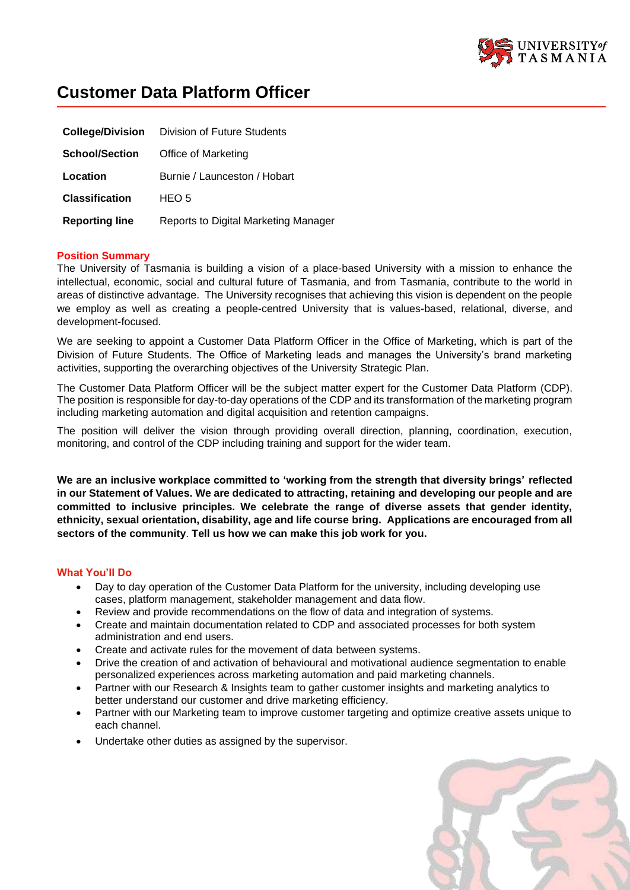

# **Customer Data Platform Officer**

|                       | <b>College/Division</b> Division of Future Students |
|-----------------------|-----------------------------------------------------|
| <b>School/Section</b> | Office of Marketing                                 |
| Location              | Burnie / Launceston / Hobart                        |
| <b>Classification</b> | HEO 5                                               |
| <b>Reporting line</b> | Reports to Digital Marketing Manager                |

# **Position Summary**

The University of Tasmania is building a vision of a place-based University with a mission to enhance the intellectual, economic, social and cultural future of Tasmania, and from Tasmania, contribute to the world in areas of distinctive advantage. The University recognises that achieving this vision is dependent on the people we employ as well as creating a people-centred University that is values-based, relational, diverse, and development-focused.

We are seeking to appoint a Customer Data Platform Officer in the Office of Marketing, which is part of the Division of Future Students. The Office of Marketing leads and manages the University's brand marketing activities, supporting the overarching objectives of the University Strategic Plan.

The Customer Data Platform Officer will be the subject matter expert for the Customer Data Platform (CDP). The position is responsible for day-to-dayoperations of the CDP and its transformation of the marketing program including marketing automation and digital acquisition and retention campaigns.

The position will deliver the vision through providing overall direction, planning, coordination, execution, monitoring, and control of the CDP including training and support for the wider team.

**We are an inclusive workplace committed to 'working from the strength that diversity brings' reflected in our Statement of Values. We are dedicated to attracting, retaining and developing our people and are committed to inclusive principles. We celebrate the range of diverse assets that gender identity, ethnicity, sexual orientation, disability, age and life course bring. Applications are encouraged from all sectors of the community**. **Tell us how we can make this job work for you.**

# **What You'll Do**

- Day to day operation of the Customer Data Platform for the university, including developing use cases, platform management, stakeholder management and data flow.
- Review and provide recommendations on the flow of data and integration of systems.
- Create and maintain documentation related to CDP and associated processes for both system administration and end users.
- Create and activate rules for the movement of data between systems.
- Drive the creation of and activation of behavioural and motivational audience segmentation to enable personalized experiences across marketing automation and paid marketing channels.
- Partner with our Research & Insights team to gather customer insights and marketing analytics to better understand our customer and drive marketing efficiency.
- Partner with our Marketing team to improve customer targeting and optimize creative assets unique to each channel.
- Undertake other duties as assigned by the supervisor.